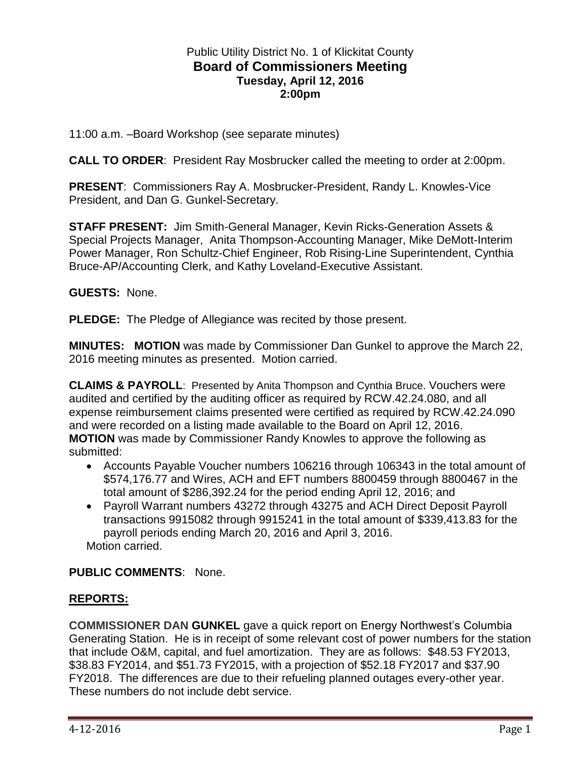### Public Utility District No. 1 of Klickitat County **Board of Commissioners Meeting Tuesday, April 12, 2016 2:00pm**

11:00 a.m. –Board Workshop (see separate minutes)

**CALL TO ORDER**: President Ray Mosbrucker called the meeting to order at 2:00pm.

**PRESENT**: Commissioners Ray A. Mosbrucker-President, Randy L. Knowles-Vice President, and Dan G. Gunkel-Secretary.

**STAFF PRESENT:** Jim Smith-General Manager, Kevin Ricks-Generation Assets & Special Projects Manager, Anita Thompson-Accounting Manager, Mike DeMott-Interim Power Manager, Ron Schultz-Chief Engineer, Rob Rising-Line Superintendent, Cynthia Bruce-AP/Accounting Clerk, and Kathy Loveland-Executive Assistant.

**GUESTS:** None.

**PLEDGE:** The Pledge of Allegiance was recited by those present.

**MINUTES: MOTION** was made by Commissioner Dan Gunkel to approve the March 22, 2016 meeting minutes as presented. Motion carried.

**CLAIMS & PAYROLL**: Presented by Anita Thompson and Cynthia Bruce. Vouchers were audited and certified by the auditing officer as required by RCW.42.24.080, and all expense reimbursement claims presented were certified as required by RCW.42.24.090 and were recorded on a listing made available to the Board on April 12, 2016. **MOTION** was made by Commissioner Randy Knowles to approve the following as submitted:

- Accounts Payable Voucher numbers 106216 through 106343 in the total amount of \$574,176.77 and Wires, ACH and EFT numbers 8800459 through 8800467 in the total amount of \$286,392.24 for the period ending April 12, 2016; and
- Payroll Warrant numbers 43272 through 43275 and ACH Direct Deposit Payroll transactions 9915082 through 9915241 in the total amount of \$339,413.83 for the payroll periods ending March 20, 2016 and April 3, 2016. Motion carried.

**PUBLIC COMMENTS**: None.

## **REPORTS:**

**COMMISSIONER DAN GUNKEL** gave a quick report on Energy Northwest's Columbia Generating Station. He is in receipt of some relevant cost of power numbers for the station that include O&M, capital, and fuel amortization. They are as follows: \$48.53 FY2013, \$38.83 FY2014, and \$51.73 FY2015, with a projection of \$52.18 FY2017 and \$37.90 FY2018. The differences are due to their refueling planned outages every-other year. These numbers do not include debt service.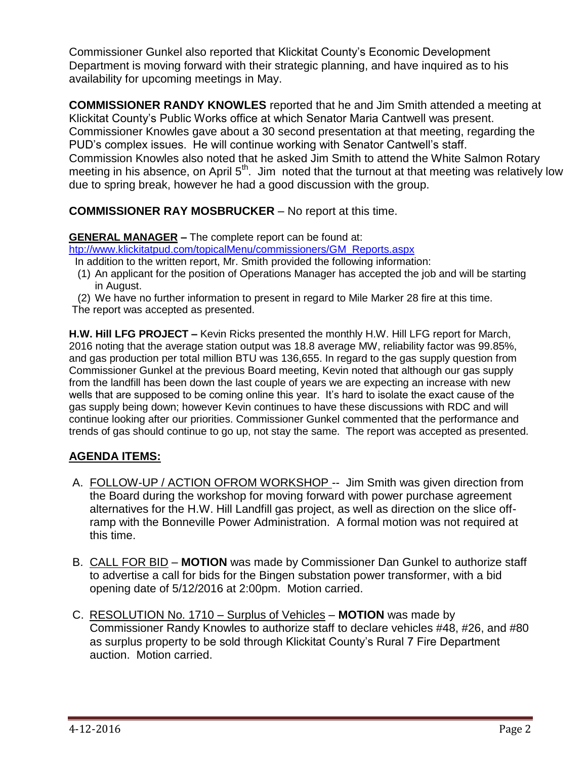Commissioner Gunkel also reported that Klickitat County's Economic Development Department is moving forward with their strategic planning, and have inquired as to his availability for upcoming meetings in May.

**COMMISSIONER RANDY KNOWLES** reported that he and Jim Smith attended a meeting at Klickitat County's Public Works office at which Senator Maria Cantwell was present. Commissioner Knowles gave about a 30 second presentation at that meeting, regarding the PUD's complex issues. He will continue working with Senator Cantwell's staff. Commission Knowles also noted that he asked Jim Smith to attend the White Salmon Rotary meeting in his absence, on April 5<sup>th</sup>. Jim noted that the turnout at that meeting was relatively low due to spring break, however he had a good discussion with the group.

**COMMISSIONER RAY MOSBRUCKER** – No report at this time.

## **GENERAL MANAGER –** The complete report can be found at:

[htp://www.klickitatpud.com/topicalMenu/commissioners/GM\\_Reports.aspx](http://www.klickitatpud.com/topicalMenu/commissioners/GM_Reports.aspx)

In addition to the written report, Mr. Smith provided the following information:

- (1) An applicant for the position of Operations Manager has accepted the job and will be starting in August.
- (2) We have no further information to present in regard to Mile Marker 28 fire at this time.
- The report was accepted as presented.

**H.W. Hill LFG PROJECT –** Kevin Ricks presented the monthly H.W. Hill LFG report for March, 2016 noting that the average station output was 18.8 average MW, reliability factor was 99.85%, and gas production per total million BTU was 136,655. In regard to the gas supply question from Commissioner Gunkel at the previous Board meeting, Kevin noted that although our gas supply from the landfill has been down the last couple of years we are expecting an increase with new wells that are supposed to be coming online this year. It's hard to isolate the exact cause of the gas supply being down; however Kevin continues to have these discussions with RDC and will continue looking after our priorities. Commissioner Gunkel commented that the performance and trends of gas should continue to go up, not stay the same. The report was accepted as presented.

# **AGENDA ITEMS:**

- A. FOLLOW-UP / ACTION OFROM WORKSHOP -- Jim Smith was given direction from the Board during the workshop for moving forward with power purchase agreement alternatives for the H.W. Hill Landfill gas project, as well as direction on the slice offramp with the Bonneville Power Administration. A formal motion was not required at this time.
- B. CALL FOR BID **MOTION** was made by Commissioner Dan Gunkel to authorize staff to advertise a call for bids for the Bingen substation power transformer, with a bid opening date of 5/12/2016 at 2:00pm. Motion carried.
- C. RESOLUTION No. 1710 Surplus of Vehicles **MOTION** was made by Commissioner Randy Knowles to authorize staff to declare vehicles #48, #26, and #80 as surplus property to be sold through Klickitat County's Rural 7 Fire Department auction. Motion carried.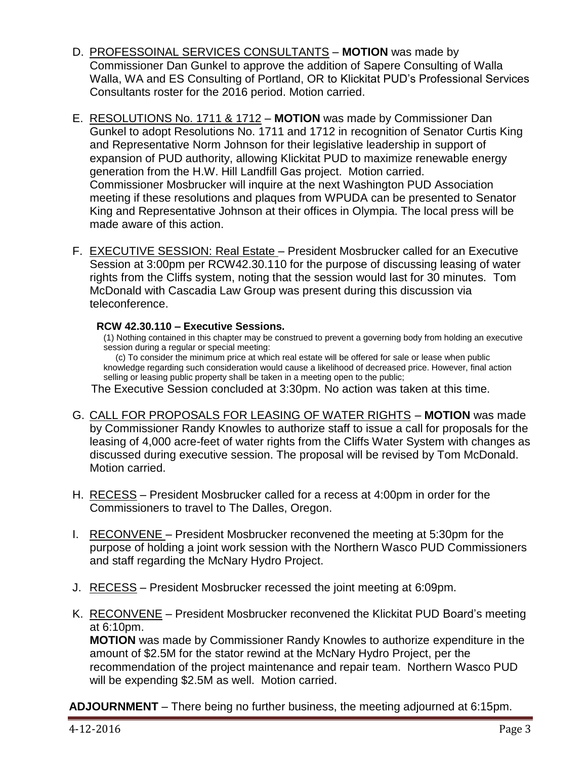- D. PROFESSOINAL SERVICES CONSULTANTS **MOTION** was made by Commissioner Dan Gunkel to approve the addition of Sapere Consulting of Walla Walla, WA and ES Consulting of Portland, OR to Klickitat PUD's Professional Services Consultants roster for the 2016 period. Motion carried.
- E. RESOLUTIONS No. 1711 & 1712 **MOTION** was made by Commissioner Dan Gunkel to adopt Resolutions No. 1711 and 1712 in recognition of Senator Curtis King and Representative Norm Johnson for their legislative leadership in support of expansion of PUD authority, allowing Klickitat PUD to maximize renewable energy generation from the H.W. Hill Landfill Gas project. Motion carried. Commissioner Mosbrucker will inquire at the next Washington PUD Association meeting if these resolutions and plaques from WPUDA can be presented to Senator King and Representative Johnson at their offices in Olympia. The local press will be made aware of this action.
- F. EXECUTIVE SESSION: Real Estate President Mosbrucker called for an Executive Session at 3:00pm per RCW42.30.110 for the purpose of discussing leasing of water rights from the Cliffs system, noting that the session would last for 30 minutes. Tom McDonald with Cascadia Law Group was present during this discussion via teleconference.

### **RCW 42.30.110 – Executive Sessions.**

(1) Nothing contained in this chapter may be construed to prevent a governing body from holding an executive session during a regular or special meeting:

 (c) To consider the minimum price at which real estate will be offered for sale or lease when public knowledge regarding such consideration would cause a likelihood of decreased price. However, final action selling or leasing public property shall be taken in a meeting open to the public;

The Executive Session concluded at 3:30pm. No action was taken at this time.

- G. CALL FOR PROPOSALS FOR LEASING OF WATER RIGHTS **MOTION** was made by Commissioner Randy Knowles to authorize staff to issue a call for proposals for the leasing of 4,000 acre-feet of water rights from the Cliffs Water System with changes as discussed during executive session. The proposal will be revised by Tom McDonald. Motion carried.
- H. RECESS President Mosbrucker called for a recess at 4:00pm in order for the Commissioners to travel to The Dalles, Oregon.
- I. RECONVENE President Mosbrucker reconvened the meeting at 5:30pm for the purpose of holding a joint work session with the Northern Wasco PUD Commissioners and staff regarding the McNary Hydro Project.
- J. RECESS President Mosbrucker recessed the joint meeting at 6:09pm.
- K. RECONVENE President Mosbrucker reconvened the Klickitat PUD Board's meeting at 6:10pm.

**MOTION** was made by Commissioner Randy Knowles to authorize expenditure in the amount of \$2.5M for the stator rewind at the McNary Hydro Project, per the recommendation of the project maintenance and repair team. Northern Wasco PUD will be expending \$2.5M as well. Motion carried.

**ADJOURNMENT** – There being no further business, the meeting adjourned at 6:15pm.